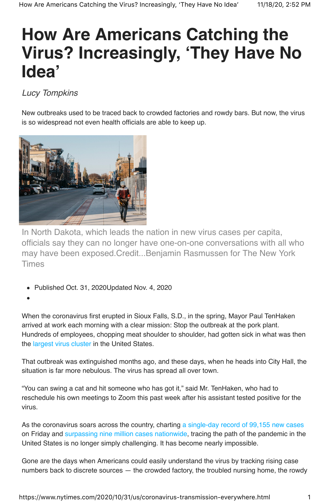# **How Are Americans Catching the Virus? Increasingly, 'They Have No Idea'**

## *Lucy Tompkins*

New outbreaks used to be traced back to crowded factories and rowdy bars. But now, the virus is so widespread not even health officials are able to keep up.



In North Dakota, which leads the nation in new virus cases per capita, officials say they can no longer have one-on-one conversations with all who may have been exposed.Credit...Benjamin Rasmussen for The New York Times

- Published Oct. 31, 2020Updated Nov. 4, 2020
- 

When the coronavirus first erupted in Sioux Falls, S.D., in the spring, Mayor Paul TenHaken arrived at work each morning with a clear mission: Stop the outbreak at the pork plant. Hundreds of employees, chopping meat shoulder to shoulder, had gotten sick in what was then the largest virus cluster in the United States.

That outbreak was extinguished months ago, and these days, when he heads into City Hall, the situation is far more nebulous. The virus has spread all over town.

"You can swing a cat and hit someone who has got it," said Mr. TenHaken, who had to reschedule his own meetings to Zoom this past week after his assistant tested positive for the virus.

As the coronavirus soars across the country, charting a single-day record of 99,155 new cases on Friday and surpassing nine million cases nationwide, tracing the path of the pandemic in the United States is no longer simply challenging. It has become nearly impossible.

Gone are the days when Americans could easily understand the virus by tracking rising case numbers back to discrete sources — the crowded factory, the troubled nursing home, the rowdy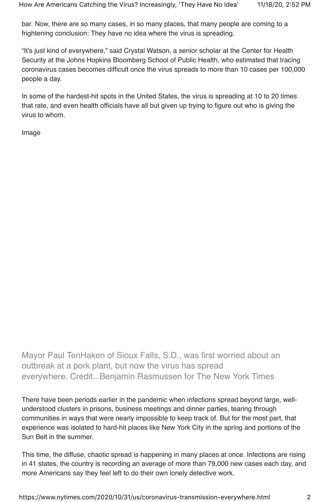bar. Now, there are so many cases, in so many places, that many people are coming to a frightening conclusion: They have no idea where the virus is spreading.

"It's just kind of everywhere," said Crystal Watson, a senior scholar at the Center for Health Security at the Johns Hopkins Bloomberg School of Public Health, who estimated that tracing coronavirus cases becomes difficult once the virus spreads to more than 10 cases per 100,000 people a day.

In some of the hardest-hit spots in the United States, the virus is spreading at 10 to 20 times that rate, and even health officials have all but given up trying to figure out who is giving the virus to whom.

Image

Mayor Paul TenHaken of Sioux Falls, S.D., was first worried about an outbreak at a pork plant, but now the virus has spread everywhere. Credit...Benjamin Rasmussen for The New York Times

There have been periods earlier in the pandemic when infections spread beyond large, wellunderstood clusters in prisons, business meetings and dinner parties, tearing through communities in ways that were nearly impossible to keep track of. But for the most part, that experience was isolated to hard-hit places like New York City in the spring and portions of the Sun Belt in the summer.

This time, the diffuse, chaotic spread is happening in many places at once. Infections are rising in 41 states, the country is recording an average of more than 79,000 new cases each day, and more Americans say they feel left to do their own lonely detective work.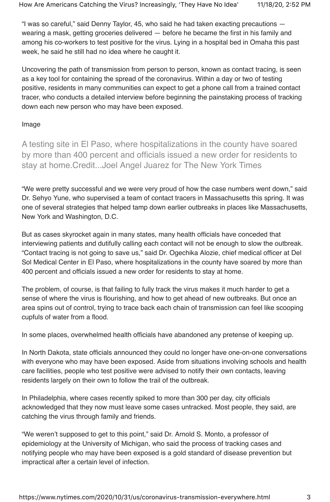"I was so careful," said Denny Taylor, 45, who said he had taken exacting precautions  $$ wearing a mask, getting groceries delivered — before he became the first in his family and among his co-workers to test positive for the virus. Lying in a hospital bed in Omaha this past week, he said he still had no idea where he caught it.

Uncovering the path of transmission from person to person, known as contact tracing, is seen as a key tool for containing the spread of the coronavirus. Within a day or two of testing positive, residents in many communities can expect to get a phone call from a trained contact tracer, who conducts a detailed interview before beginning the painstaking process of tracking down each new person who may have been exposed.

#### Image

A testing site in El Paso, where hospitalizations in the county have soared by more than 400 percent and officials issued a new order for residents to stay at home.Credit...Joel Angel Juarez for The New York Times

"We were pretty successful and we were very proud of how the case numbers went down," said Dr. Sehyo Yune, who supervised a team of contact tracers in Massachusetts this spring. It was one of several strategies that helped tamp down earlier outbreaks in places like Massachusetts, New York and Washington, D.C.

But as cases skyrocket again in many states, many health officials have conceded that interviewing patients and dutifully calling each contact will not be enough to slow the outbreak. "Contact tracing is not going to save us," said Dr. Ogechika Alozie, chief medical officer at Del Sol Medical Center in El Paso, where hospitalizations in the county have soared by more than 400 percent and officials issued a new order for residents to stay at home.

The problem, of course, is that failing to fully track the virus makes it much harder to get a sense of where the virus is flourishing, and how to get ahead of new outbreaks. But once an area spins out of control, trying to trace back each chain of transmission can feel like scooping cupfuls of water from a flood.

In some places, overwhelmed health officials have abandoned any pretense of keeping up.

In North Dakota, state officials announced they could no longer have one-on-one conversations with everyone who may have been exposed. Aside from situations involving schools and health care facilities, people who test positive were advised to notify their own contacts, leaving residents largely on their own to follow the trail of the outbreak.

In Philadelphia, where cases recently spiked to more than 300 per day, city officials acknowledged that they now must leave some cases untracked. Most people, they said, are catching the virus through family and friends.

"We weren't supposed to get to this point," said Dr. Arnold S. Monto, a professor of epidemiology at the University of Michigan, who said the process of tracking cases and notifying people who may have been exposed is a gold standard of disease prevention but impractical after a certain level of infection.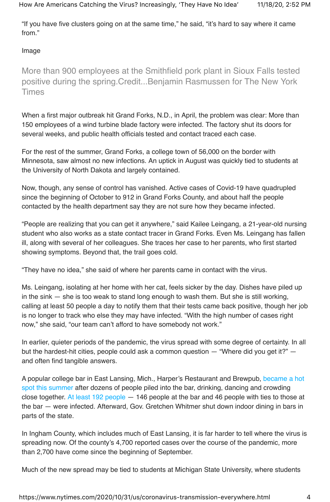"If you have five clusters going on at the same time," he said, "it's hard to say where it came from."

### Image

More than 900 employees at the Smithfield pork plant in Sioux Falls tested positive during the spring.Credit...Benjamin Rasmussen for The New York Times

When a first major outbreak hit Grand Forks, N.D., in April, the problem was clear: More than 150 employees of a wind turbine blade factory were infected. The factory shut its doors for several weeks, and public health officials tested and contact traced each case.

For the rest of the summer, Grand Forks, a college town of 56,000 on the border with Minnesota, saw almost no new infections. An uptick in August was quickly tied to students at the University of North Dakota and largely contained.

Now, though, any sense of control has vanished. Active cases of Covid-19 have quadrupled since the beginning of October to 912 in Grand Forks County, and about half the people contacted by the health department say they are not sure how they became infected.

"People are realizing that you can get it anywhere," said Kailee Leingang, a 21-year-old nursing student who also works as a state contact tracer in Grand Forks. Even Ms. Leingang has fallen ill, along with several of her colleagues. She traces her case to her parents, who first started showing symptoms. Beyond that, the trail goes cold.

"They have no idea," she said of where her parents came in contact with the virus.

Ms. Leingang, isolating at her home with her cat, feels sicker by the day. Dishes have piled up in the sink — she is too weak to stand long enough to wash them. But she is still working, calling at least 50 people a day to notify them that their tests came back positive, though her job is no longer to track who else they may have infected. "With the high number of cases right now," she said, "our team can't afford to have somebody not work."

In earlier, quieter periods of the pandemic, the virus spread with some degree of certainty. In all but the hardest-hit cities, people could ask a common question — "Where did you get it?" and often find tangible answers.

A popular college bar in East Lansing, Mich., Harper's Restaurant and Brewpub, became a hot spot this summer after dozens of people piled into the bar, drinking, dancing and crowding close together. At least 192 people — 146 people at the bar and 46 people with ties to those at the bar — were infected. Afterward, Gov. Gretchen Whitmer shut down indoor dining in bars in parts of the state.

In Ingham County, which includes much of East Lansing, it is far harder to tell where the virus is spreading now. Of the county's 4,700 reported cases over the course of the pandemic, more than 2,700 have come since the beginning of September.

Much of the new spread may be tied to students at Michigan State University, where students